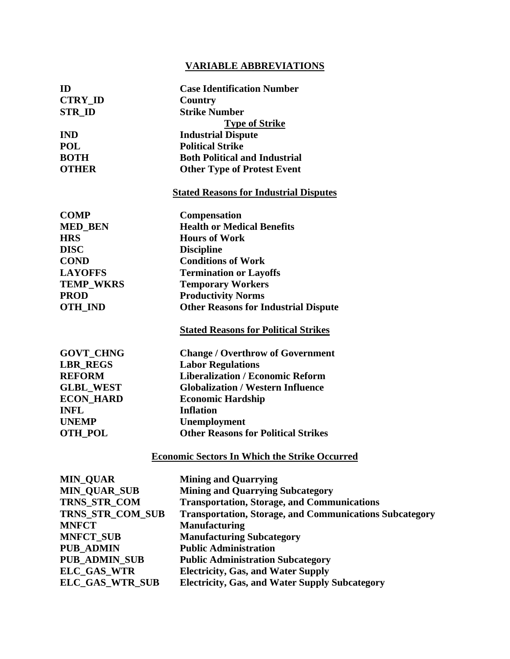## **VARIABLE ABBREVIATIONS**

| ID                   | <b>Case Identification Number</b>                              |
|----------------------|----------------------------------------------------------------|
| <b>CTRY_ID</b>       | Country                                                        |
| <b>STR_ID</b>        | <b>Strike Number</b>                                           |
|                      | <b>Type of Strike</b>                                          |
| <b>IND</b>           | <b>Industrial Dispute</b>                                      |
| <b>POL</b>           | <b>Political Strike</b>                                        |
| <b>BOTH</b>          | <b>Both Political and Industrial</b>                           |
| <b>OTHER</b>         | <b>Other Type of Protest Event</b>                             |
|                      | <b>Stated Reasons for Industrial Disputes</b>                  |
| <b>COMP</b>          | <b>Compensation</b>                                            |
| <b>MED_BEN</b>       | <b>Health or Medical Benefits</b>                              |
| <b>HRS</b>           | <b>Hours of Work</b>                                           |
| <b>DISC</b>          | <b>Discipline</b>                                              |
| <b>COND</b>          | <b>Conditions of Work</b>                                      |
| <b>LAYOFFS</b>       | <b>Termination or Layoffs</b>                                  |
| <b>TEMP_WKRS</b>     | <b>Temporary Workers</b>                                       |
| <b>PROD</b>          | <b>Productivity Norms</b>                                      |
| <b>OTH_IND</b>       | <b>Other Reasons for Industrial Dispute</b>                    |
|                      | <b>Stated Reasons for Political Strikes</b>                    |
| <b>GOVT_CHNG</b>     | <b>Change / Overthrow of Government</b>                        |
| <b>LBR REGS</b>      | <b>Labor Regulations</b>                                       |
| <b>REFORM</b>        | <b>Liberalization / Economic Reform</b>                        |
| <b>GLBL_WEST</b>     | <b>Globalization / Western Influence</b>                       |
| <b>ECON_HARD</b>     | <b>Economic Hardship</b>                                       |
| <b>INFL</b>          | <b>Inflation</b>                                               |
| <b>UNEMP</b>         | Unemployment                                                   |
| <b>OTH_POL</b>       | <b>Other Reasons for Political Strikes</b>                     |
|                      | <b>Economic Sectors In Which the Strike Occurred</b>           |
| <b>MIN_QUAR</b>      | <b>Mining and Quarrying</b>                                    |
| <b>MIN_QUAR_SUB</b>  | <b>Mining and Quarrying Subcategory</b>                        |
| TRNS_STR_COM         | <b>Transportation, Storage, and Communications</b>             |
| TRNS_STR_COM_SUB     | <b>Transportation, Storage, and Communications Subcategory</b> |
| <b>MNFCT</b>         | <b>Manufacturing</b>                                           |
| <b>MNFCT_SUB</b>     | <b>Manufacturing Subcategory</b>                               |
| <b>PUB_ADMIN</b>     | <b>Public Administration</b>                                   |
| <b>PUB_ADMIN_SUB</b> | <b>Public Administration Subcategory</b>                       |
| ELC_GAS_WTR          | <b>Electricity, Gas, and Water Supply</b>                      |

**ELC\_GAS\_WTR\_SUB Electricity, Gas, and Water Supply Subcategory**